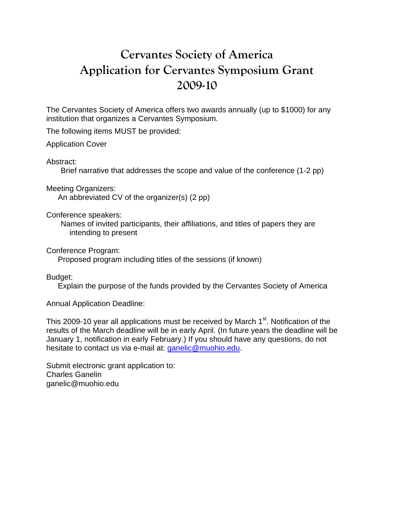## **Cervantes Society of America Application for Cervantes Symposium Grant 2009-10**

The Cervantes Society of America offers two awards annually (up to \$1000) for any institution that organizes a Cervantes Symposium.

The following items MUST be provided:

Application Cover

Abstract:

Brief narrative that addresses the scope and value of the conference (1-2 pp)

Meeting Organizers:

An abbreviated CV of the organizer(s) (2 pp)

Conference speakers:

Names of invited participants, their affiliations, and titles of papers they are intending to present

Conference Program:

Proposed program including titles of the sessions (if known)

Budget:

Explain the purpose of the funds provided by the Cervantes Society of America

Annual Application Deadline:

This 2009-10 year all applications must be received by March 1<sup>st</sup>. Notification of the results of the March deadline will be in early April. (In future years the deadline will be January 1, notification in early February.) If you should have any questions, do not hesitate to contact us via e-mail at: ganelic@muohio.edu.

Submit electronic grant application to: Charles Ganelin ganelic@muohio.edu